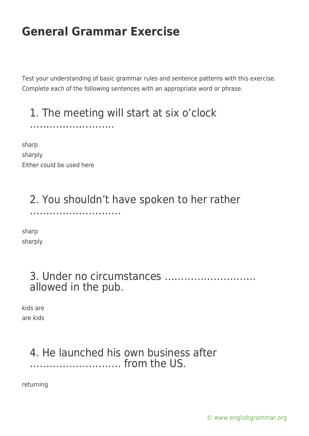Test your understanding of basic grammar rules and sentence patterns with this exercise. Complete each of the following sentences with an appropriate word or phrase.

#### 1. The meeting will start at six o'clock

sharp sharply Either could be used here

……………………..

……………………….

### 2. You shouldn't have spoken to her rather

sharp

sharply

#### 3. Under no circumstances ………………………. allowed in the pub.

kids are are kids

#### 4. He launched his own business after ………………………. from the US.

returning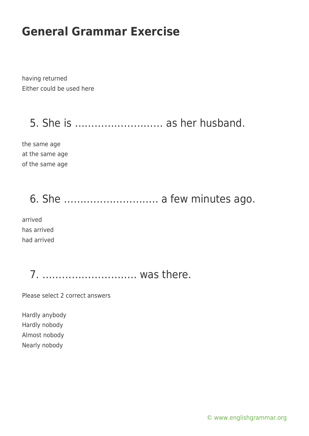having returned Either could be used here

5. She is ……………………… as her husband.

the same age at the same age of the same age

# 6. She ……………………….. a few minutes ago.

arrived has arrived had arrived

7. ……………………….. was there.

Please select 2 correct answers

Hardly anybody Hardly nobody Almost nobody Nearly nobody

[© www.englishgrammar.org](https://www.englishgrammar.org/)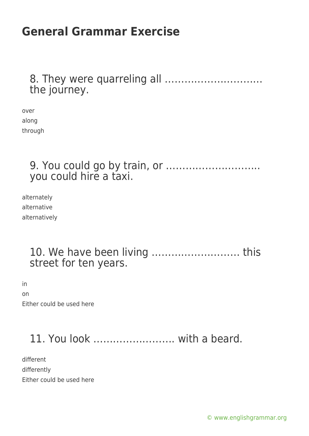#### 8. They were quarreling all ………………………… the journey.

over along through

> 9. You could go by train, or ……………………….. you could hire a taxi.

alternately alternative alternatively

#### 10. We have been living ……………………… this street for ten years.

in on Either could be used here

### 11. You look ……………………. with a beard.

different differently Either could be used here